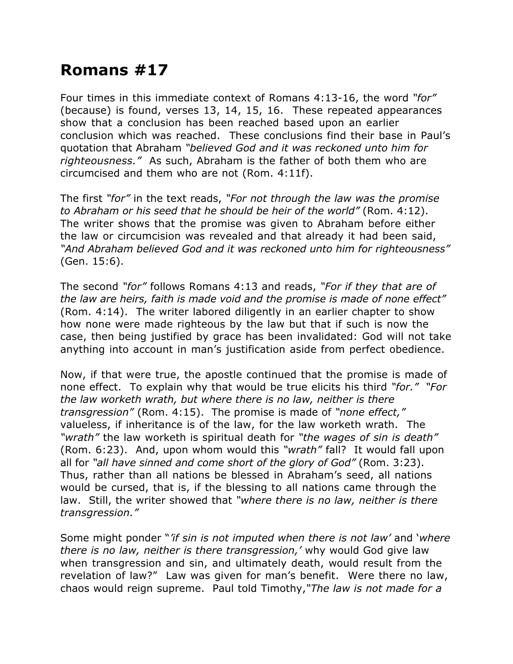## **Romans #17**

Four times in this immediate context of Romans 4:13-16, the word *"for"*  (because) is found, verses 13, 14, 15, 16. These repeated appearances show that a conclusion has been reached based upon an earlier conclusion which was reached. These conclusions find their base in Paul's quotation that Abraham *"believed God and it was reckoned unto him for righteousness."* As such, Abraham is the father of both them who are circumcised and them who are not (Rom. 4:11f).

The first *"for"* in the text reads, *"For not through the law was the promise to Abraham or his seed that he should be heir of the world"* (Rom. 4:12). The writer shows that the promise was given to Abraham before either the law or circumcision was revealed and that already it had been said, *"And Abraham believed God and it was reckoned unto him for righteousness"*  (Gen. 15:6).

The second *"for"* follows Romans 4:13 and reads, *"For if they that are of the law are heirs, faith is made void and the promise is made of none effect"*  (Rom. 4:14). The writer labored diligently in an earlier chapter to show how none were made righteous by the law but that if such is now the case, then being justified by grace has been invalidated: God will not take anything into account in man's justification aside from perfect obedience.

Now, if that were true, the apostle continued that the promise is made of none effect. To explain why that would be true elicits his third *"for." "For the law worketh wrath, but where there is no law, neither is there transgression"* (Rom. 4:15). The promise is made of *"none effect,"* valueless, if inheritance is of the law, for the law worketh wrath. The *"wrath"* the law worketh is spiritual death for *"the wages of sin is death"* (Rom. 6:23). And, upon whom would this *"wrath"* fall? It would fall upon all for *"all have sinned and come short of the glory of God"* (Rom. 3:23). Thus, rather than all nations be blessed in Abraham's seed, all nations would be cursed, that is, if the blessing to all nations came through the law. Still, the writer showed that *"where there is no law, neither is there transgression."*

Some might ponder "*'if sin is not imputed when there is not law'* and '*where there is no law, neither is there transgression,'* why would God give law when transgression and sin, and ultimately death, would result from the revelation of law?" Law was given for man's benefit. Were there no law, chaos would reign supreme. Paul told Timothy,*"The law is not made for a*